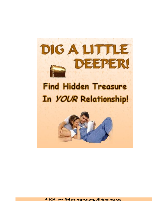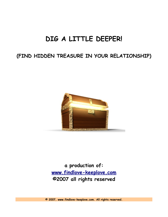# **DIG A LITTLE DEEPER!**

## **(FIND HIDDEN TREASURE IN YOUR RELATIONSHIP)**



**a production of: [www.findlove-keeplove.com](http://www.findlove-keeplove.com/) [©](http://www.findlove-keeplove.com/)2007 all rights reserved**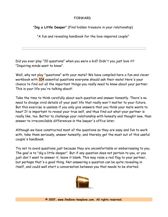## FORWARD

"**Dig a Little Deeper**" (Find hidden treasure in your relationship)

"A fun and revealing handbook for the love-impaired couple"

Did you ever play "20 questions" when you were a kid? Didn't you just love it? "Inquiring minds want to know".

Well, why not play "questions" with your mate? We have compiled here a fun and clever workbook with 104 essential questions everyone should ask their mate! Here's your chance to find out all the important things you really need to know about your partner. This is your life you're talking about!

Take the time to think carefully about each question and answer honestly. There's no need to divulge vivid details of your past life that really won't matter to your future. But this exercise is useless if you only give answers that you think your mate wants to hear! It is important to reveal your true self, and thus find out what your partner is really like, too. Better to challenge your relationship with honesty and thought now, than answer to irreconcilable differences in the lawyer's office later.

Although we have constructed most of the questions so they are easy and fun to work with, take them seriously, answer honestly, and thereby get the most out of this useful couple's handbook.

Try not to avoid questions just because they are uncomfortable or embarrassing to you. The goal is to "dig a little deeper". But if any question does not pertain to you, or you just don't want to answer it, leave it blank. This may raise a red flag to your partner, but perhaps that's a good thing. Not answering a question can be quite revealing in itself, and could well start a conversation between you that needs to be started.

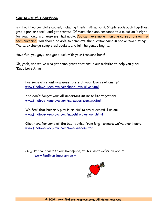### **How to use this handbook:**

Print out two complete copies, including these instructions. Staple each book together, grab a pen or pencil, and get started! If more than one response to a question is right for you, indicate all answers that apply. You can have more than one correct answer for each question. You should be able to complete the questionnaire in one or two sittings. Then... exchange completed books... and let the games begin...

Have fun, you guys, and good luck with your treasure hunt!

Oh, yeah, and we've also got some great sections in our website to help you guys "Keep Love Alive":

For some excellent new ways to enrich your love relationship: [www.findlove-keeplove.com/keep-love-alive.html](http://www.findlove-keeplove.com/keep-love-alive.html)

And don't forget your all-important intimate life together: [www.findlove-keeplove.com/sensuous-woman.html](http://www.findlove-keeplove.com/sensuous-woman.html)

We feel that humor & play is crucial to any successful union: [www.findlove-keeplove.com/naughty-playroom.html](http://www.findlove-keeplove.com/naughty-playroom.html)

Click here for some of the best advice from long-termers we've ever heard: [www.findlove-keeplove.com/love-wisdom.html](http://www.findlove-keeplove.com/love-wisdom.html)

Or just give a visit to our homepage, to see what we're all about! [www.findlove-keeplove.com](http://www.findlove-keeplove.com/)

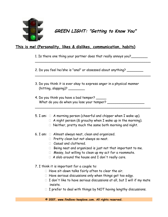

## **GREEN LIGHT: "Getting to Know You"**

## **This is me! (Personality, likes & dislikes, communication, habits)**

1. Is there one thing your partner does that really annoys you?

\_\_\_\_\_\_\_\_\_\_\_\_\_\_\_\_\_\_\_\_\_\_\_\_\_\_\_\_\_\_\_\_\_\_\_\_\_\_\_\_\_\_\_\_\_\_\_\_\_\_\_\_\_\_\_\_

\_\_\_\_\_\_\_\_\_\_\_\_\_\_\_\_\_\_\_\_\_\_\_\_\_\_\_\_\_\_\_\_\_\_\_\_\_\_\_\_\_\_\_\_\_\_\_\_\_\_\_\_\_\_\_\_

2. Do you feel he/she is "anal" or obsessed about anything? \_\_\_\_\_\_\_\_

3. Do you think it is ever okay to express anger in a physical manner  $(hitting, slapping)$ ?

4. Do you think you have a bad temper? \_\_\_\_\_ What do you do when you lose your temper? \_\_\_\_\_\_\_\_\_\_\_\_\_\_\_\_\_\_\_\_

## 5. I am:  $\Box$  A morning person (cheerful and chipper when I wake up).

- $\Box$  A night person (& grouchy when I wake up in the morning).
- $\Box$  Neither, pretty much the same both morning and night.

\_\_\_\_\_\_\_\_\_\_\_\_\_\_\_\_\_\_\_\_\_\_\_\_\_\_\_\_\_\_\_\_\_\_\_\_\_\_\_\_\_\_\_\_\_\_\_\_\_\_\_\_\_\_\_\_

- 6. I am:  $\Box$  Almost always neat, clean and organized.
	- Pretty clean but not always so neat.
	- $\Box$  Casual and cluttered.
	- $\Box$  Being neat and organized is just not that important to me.
	- $\Box$  Messy, but willing to clean up my act for a roommate.
	- $\Box$  A slob around the house and I don't really care.
- 7. I think it is important for a couple to:
	- $\Box$  Have sit-down talks fairly often to clear the air.
	- $\Box$  Have serious discussions only when things get too edgy.
	- $\Box$  I don't like to have serious discussions at all, but I will if my mate insists.
	- $\Box$  I prefer to deal with things by NOT having lengthy discussions.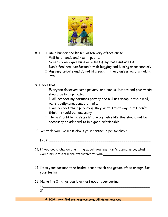

- 8. I:  $\Box$  Am a hugger and kisser, often very affectionate.
	- Will hold hands and kiss in public.
	- $\Box$  Generally only give hugs or kisses if my mate initiates it.
	- $\Box$  Don't feel real comfortable with hugging and kissing spontaneously.
	- $\Box$  Am very private and do not like such intimacy unless we are making love.
- 9. I feel that:
	- Everyone deserves some privacy, and emails, letters and passwords should be kept private.
	- $\Box$  I will respect my partners privacy and will not snoop in their mail, wallet, cellphone, computer, etc.
	- $\Box$  I will respect their privacy if they want it that way, but I don't think it should be necessary.
	- $\Box$  There should be no secrets; privacy rules like this should not be necessary or adhered to in a good relationship.
- 10. What do you like most about your partner's personality?

- 11. If you could change one thing about your partner's appearance, what would make them more attractive to you?\_\_\_\_\_\_\_\_\_\_\_\_\_\_\_\_\_\_\_\_\_\_\_
- 12. Does your partner take baths, brush teeth and groom often enough for your taste?

 $\overline{\phantom{a}}$  , and the set of the set of the set of the set of the set of the set of the set of the set of the set of the set

- 13. Name the 2 things you love most about your partner:
	- 1)\_\_\_\_\_\_\_\_\_\_\_\_\_\_\_\_\_\_\_\_\_\_\_\_\_\_\_\_\_\_\_\_\_\_\_\_\_\_\_\_\_\_\_\_\_\_\_\_\_\_\_\_  $2)$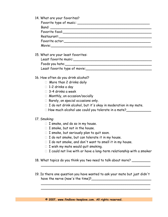14. What are your favorites?

| Band:                                                                                                                                                                                                                          |
|--------------------------------------------------------------------------------------------------------------------------------------------------------------------------------------------------------------------------------|
| Favorite food: The contract of the contract of the contract of the contract of the contract of the contract of the contract of the contract of the contract of the contract of the contract of the contract of the contract of |
| Restaurant:__________________                                                                                                                                                                                                  |
| Favorite actor: when the contract of the contract of the contract of the contract of the contract of the contract of the contract of the contract of the contract of the contract of the contract of the contract of the contr |
| Movie: <b>Movie</b>                                                                                                                                                                                                            |

15. What are your least favorites:

| Least favorite music:         |  |
|-------------------------------|--|
| Foods you hate:               |  |
| Least favorite type of movie: |  |

- 16. How often do you drink alcohol?
	- □ More than 2 drinks daily
	- □ 1-2 drinks a day
	- 3-4 drinks a week
	- □ Monthly, on occasion/socially
	- □ Rarely, on special occasions only.
	- $\Box$  I do not drink alcohol, but it's okay in moderation in my mate.
	- $\square$  How much alcohol use could you tolerate in a mate?

### 17. Smoking:

- $\Box$  I smoke, and do so in my house.
- $\Box$  I smoke, but not in the house.
- $\Box$  I smoke, but seriously plan to quit soon.
- $\Box$  I do not smoke, but can tolerate it in my house.
- $\Box$  I do not smoke, and don't want to smell it in my house.
- $\Box$  I wish my mate would quit smoking.
- $\Box$  I could not live with or have a long-term relationship with a smoker
- 18. What topics do you think you two need to talk about more? \_\_\_\_\_\_\_\_\_
- 19. Is there one question you have wanted to ask your mate but just didn't have the nerve (now's the time)?\_\_\_\_\_\_\_\_\_\_\_\_\_\_\_\_\_\_\_\_\_\_\_\_\_\_\_\_\_

 $\overline{\phantom{a}}$  , and the contract of the contract of the contract of the contract of the contract of the contract of the contract of the contract of the contract of the contract of the contract of the contract of the contrac  $\overline{\phantom{a}}$  , and the contract of the contract of the contract of the contract of the contract of the contract of the contract of the contract of the contract of the contract of the contract of the contract of the contrac

 $\overline{\phantom{a}}$  , and the contract of the contract of the contract of the contract of the contract of the contract of the contract of the contract of the contract of the contract of the contract of the contract of the contrac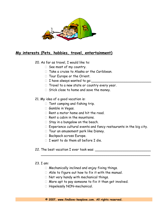

## **My interests (Pets, hobbies, travel, entertainment)**

- 20. As far as travel, I would like to:
	- $\Box$  See most of my country.
	- $\Box$  Take a cruise to Alaska or the Caribbean.
	- □ Tour Europe or the Orient.
	- $\Box$  I have always wanted to go:
	- $\Box$  Travel to a new state or country every year.
	- $\Box$  Stick close to home and save the money.

## 21. My idea of a good vacation is:

- $\Box$  Tent camping and fishing trip.
- $\Box$  Gamble in Vegas.
- $\Box$  Rent a motor home and hit the road.
- $\Box$  Rent a cabin in the mountains.
- $\Box$  Stay in a bungalow on the beach.
- $\Box$  Experience cultural events and fancy restaurants in the big city.

 $\overline{\phantom{a}}$ 

- $\Box$  Tour an amusement park like Disney.
- □ Backpack across Europe.
- $\Box$  I want to do them all before I die.

### 22. The best vacation I ever took was:

### 23. I am:

- $\Box$  Mechanically inclined and enjoy fixing things.
- $\Box$  Able to figure out how to fix it with the manual.
- Not very handy with mechanical things.
- $\Box$  More apt to pay someone to fix it than get involved.
- Hopelessly NON-mechanical.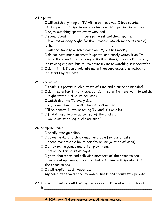## 24. Sports:

- $\Box$  I will watch anything on TV with a ball involved. I love sports.
- $\Box$  It is important to me to see sporting events in person sometimes.
- $\Box$  I enjoy watching sports every weekend.
- □ I spend about \_\_\_\_\_\_\_ hours per week watching sports.
- I love my: Monday Night football, Nascar, March Madness (circle) other
- $\Box$  I will occasionally watch a game on TV, but not weekly.
- $\Box$  I do not have much interest in sports, and rarely watch it on TV.
- $\Box$  I hate the sound of squeaking basketball shoes, the crack of a bat, or revving engines, but will tolerate my mate watching in moderation.
- $\Box$  I don't think I could tolerate more than very occasional watching of sports by my mate.

## 25. Television:

- $\Box$  I think it's pretty much a waste of time and a curse on mankind.
- $\Box$  I don't care for it that much, but don't care if others want to watch.
- $\Box$  I might watch 4-5 hours per week.
- $\Box$  I watch daytime TV every day.
- $\Box$  I enjoy watching at least 2 hours most nights.
- $\Box$  I'll be honest, I love watching TV, and it's on a lot.
- $\Box$  I find it hard to give up control of the clicker.
- $\Box$  I would insist on "equal clicker time".

## 26. Computer time:

- $\Box$  I hardly ever go online.
- $\Box$  I go online daily to check email and do a few basic tasks.
- $\Box$  I spend more than 2 hours per day online (outside of work).
- $\Box$  I enjoy online games and often play them.
- $\Box$  I am online for hours at night.
- $\Box$  I go to chatrooms and talk with members of the opposite sex.
- $\Box$  I would not approve if my mate chatted online with members of the opposite sex.
- $\Box$  I visit explicit adult websites.
- My computer travels are my own business and should stay private.
- 27. I have a talent or skill that my mate doesn't know about and this is it:\_\_\_\_\_\_\_\_\_\_\_\_\_\_\_\_\_\_\_\_\_\_\_\_\_\_\_\_\_\_\_\_\_\_\_\_\_\_\_\_\_\_\_\_\_\_\_\_\_\_\_\_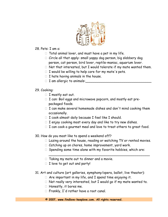

### 28. Pets: I am a:

- $\Box$  Total animal lover, and must have a pet in my life.
- Circle all that apply: small yappy dog person, big slobbery dog person, cat person, bird lover, reptile-maniac, aquarium lover.
- $\Box$  Not that interested, but I would tolerate if my mate wanted them.
- $\Box$  I would be willing to help care for my mate's pets.
- $\Box$  I hate having animals in the house.
- $\Box$  I am allergic to animals:

## 29. Cooking:

- $\Box$  I mostly eat out.
- $\Box$  I can: Boil eggs and microwave popcorn, and mostly eat prepackaged foods.
- $\Box$  I can make several homemade dishes and don't mind cooking them occasionally.
- $\Box$  I cook almost daily because I feel like I should.
- $\Box$  I enjoy cooking most every day and like to try new dishes.
- $\Box$  I can cook a gourmet meal and love to treat others to great food.
- 30. How do you most like to spend a weekend off?
	- $\Box$  Lazing around the house, reading or watching TV or rented movies.
	- $\Box$  Catching up on chores, home improvement, yard work.
	- $\Box$  Spending some time alone with my favorite hobbies, which are:

 $\overline{\phantom{a}}$  , and the contract of the contract of the contract of the contract of the contract of the contract of the contract of the contract of the contract of the contract of the contract of the contract of the contrac

- $\Box$  Taking my mate out to dinner and a movie.
- $\Box$  I love to get out and party!
- 31. Art and culture (art galleries, symphony/opera, ballet, live theater):
	- $\Box$  Are important in my life, and I spend time enjoying it.
	- $\Box$  Not really very interested, but I would go if my mate wanted to.
	- $\Box$  Honestly, it bores me.
	- $\Box$  Frankly, I'd rather have a root canal.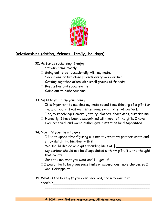

## **Relationships (dating, friends, family, holidays)**

- 32. As far as socializing, I enjoy:
	- $\Box$  Staying home mostly.
	- $\Box$  Going out to eat occasionally with my mate.
	- $\Box$  Seeing one or two close friends every week or two.
	- $\Box$  Getting together often with small groups of friends.
	- $\Box$  Big parties and social events.
	- Going out to clubs/dancing.
- 33. Gifts to you from your honey:
	- $\Box$  It is important to me that my mate spend time thinking of a gift for me, and figure it out on his/her own, even if it's not perfect.
	- $\Box$  I enjoy receiving: flowers, jewelry, clothes, chocolates, surprise me.
	- $\Box$  Honestly, I have been disappointed with most of the gifts I have ever received, and would rather give hints than be disappointed.
- 34. Now it's your turn to give:
	- $\Box$  I like to spend time figuring out exactly what my partner wants and enjoy delighting him/her with it.
	- $\Box$  We should decide on a gift spending limit of  $\frac{1}{2}$
	- $\Box$  My partner should not be disappointed with my gift, it's the thought that counts.
	- $\Box$  Just tell me what you want and I'll get it!
	- $\Box$  I would like to be given some hints or several desirable choices so I won't disappoint.

\_\_\_\_\_\_\_\_\_\_\_\_\_\_\_\_\_\_\_\_\_\_\_\_\_\_\_\_\_\_\_\_\_\_\_\_\_\_\_\_\_\_\_\_\_\_\_\_\_\_\_

35. What is the best gift you ever received, and why was it so  $\epsilon$  special?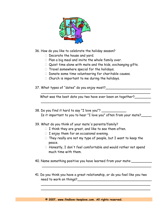

36. How do you like to celebrate the holiday season?

- $\Box$  Decorate the house and yard.
- $\Box$  Plan a big meal and invite the whole family over.
- $\Box$  Quiet time alone with mate and the kids, exchanging gifts.
- $\Box$  Travel somewhere special for the holidays.
- $\Box$  Donate some time volunteering for charitable causes.
- $\Box$  Church is important to me during the holidays.
- 37. What types of "dates" do you enjoy most?\_\_\_\_\_\_\_\_\_\_\_\_\_\_\_\_\_\_\_\_\_\_

What was the best date you two have ever been on together?

 $\overline{\phantom{a}}$  , and the contract of the contract of the contract of the contract of the contract of the contract of the contract of the contract of the contract of the contract of the contract of the contract of the contrac

 $\overline{\phantom{a}}$ 

- 38. Do you find it hard to say "I love you"? Is it important to you to hear "I love you" often from your mate?
- 39. What do you think of your mate's parents/family?
	- $\Box$  I think they are great, and like to see them often.
	- $\Box$  I enjoy them for an occasional evening.
	- $\Box$  They really are not my type of people, but I want to keep the peace.
	- $\Box$  Honestly, I don't feel comfortable and would rather not spend much time with them.
- 40. Name something positive you have learned from your mate:\_\_\_\_\_\_\_\_\_\_
- 41. Do you think you have a great relationship, or do you feel like you two need to work on things?

 $\overline{\phantom{a}}$  $\overline{\phantom{a}}$  , and the contract of the contract of the contract of the contract of the contract of the contract of the contract of the contract of the contract of the contract of the contract of the contract of the contrac

 $\overline{\phantom{a}}$  , and the contract of the contract of the contract of the contract of the contract of the contract of the contract of the contract of the contract of the contract of the contract of the contract of the contrac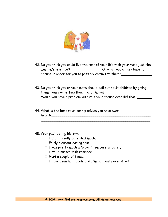

42. Do you think you could live the rest of your life with your mate just the way he/she is now?\_\_\_\_\_\_\_\_\_\_\_\_\_\_\_\_\_\_\_\_\_\_\_ Or what would they have to change in order for you to possibly commit to them?

 $\overline{\phantom{a}}$  , and the contract of the contract of the contract of the contract of the contract of the contract of the contract of the contract of the contract of the contract of the contract of the contract of the contrac

43. Do you think you or your mate should bail out adult children by giving them money or letting them live at home?\_\_\_\_\_\_\_\_\_\_\_\_\_\_\_\_\_\_\_\_\_\_ Would you have a problem with it if your spouse ever did that?

 $\overline{\phantom{a}}$  , and the contract of the contract of the contract of the contract of the contract of the contract of the contract of the contract of the contract of the contract of the contract of the contract of the contrac

 $\overline{\phantom{a}}$  , and the contract of the contract of the contract of the contract of the contract of the contract of the contract of the contract of the contract of the contract of the contract of the contract of the contrac

- 44. What is the best relationship advice you have ever heard?\_\_\_\_\_\_\_\_\_\_\_\_\_\_\_\_\_\_\_\_\_\_\_\_\_\_\_\_\_\_\_\_\_\_\_\_\_\_\_\_\_\_\_\_\_\_\_\_
- 45. Your past dating history:
	- $\Box$  I didn't really date that much.
	- $\Box$  Fairly pleasant dating past.
	- $\Box$  I was pretty much a "player", successful dater.
	- $\Box$  Hits 'n misses with romance.
	- $\Box$  Hurt a couple of times.
	- $\Box$  I have been hurt badly and I'm not really over it yet.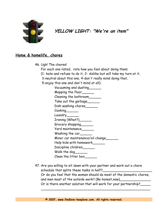

**YELLOW LIGHT: "We're an item"**

## **Home & homelife, chores**

- 46. Ugh! The chores!
	- For each one listed, rate how you feel about doing them:
	- (1- hate and refuse to do it, 2- dislike but will take my turn at it,
	- 3-neutral about this one, 4-don't really mind doing that,

5-enjoy this one and don't mind at all):

| Vacuuming and dusting             |
|-----------------------------------|
| Mopping the floor____             |
| Cleaning the bathroom             |
| Take out the garbage___           |
| Dish washing chores___            |
| $C$ ooking $\_\_\_\_\_\_\_\_\_$   |
| Laundry______                     |
| Ironing (What?)____               |
| Grocery shopping                  |
| Yard maintenance                  |
| Washing the car                   |
| Minor car maintenance/oil change_ |
| Help kids with homework_          |
| Discipline children_              |
| Walk the dog                      |
| Clean the litter box              |

47. Are you willing to sit down with your partner and work out a chore schedule that splits these tasks in half?\_\_\_\_\_\_\_\_\_\_\_\_\_\_\_\_\_\_\_\_\_\_\_\_ Or do you feel that the woman should do most of the domestic chores, and men most of the outside work? (Be honest,now) Or is there another solution that will work for your partnership?

 $\overline{\phantom{a}}$  , and the contract of the contract of the contract of the contract of the contract of the contract of the contract of the contract of the contract of the contract of the contract of the contract of the contrac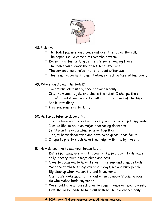

48. Pick two:

- $\Box$  The toilet paper should come out over the top of the roll.
- $\Box$  The paper should come out from the bottom.
- $\Box$  Doesn't matter, as long as there's some hanging there.
- $\Box$  The man should lower the toilet seat after use.
- $\Box$  The woman should raise the toilet seat after use.
- $\Box$  This is not important to me. I always check before sitting down.
- 49. Who should clean the toilet?
	- $\Box$  Take turns, absolutely, once or twice weekly.
	- $\Box$  It's the woman's job; she cleans the toilet, I change the oil.
	- $\Box$  I don't mind it, and would be willing to do it most of the time.
	- $\Box$  Let it stay dirty.
	- $\Box$  Hire someone else to do it.
- 50. As far as interior decorating:
	- $\Box$  I really have no interest and pretty much leave it up to my mate.
	- $\Box$  I would like to be in on major decorating decisions.
	- $\Box$  Let's plan the decorating scheme together.
	- $\Box$  I enjoy home decoration and have some great ideas for it.
	- $\Box$  I hope to pretty much have free reign with this by myself.
- 51. How do you like to see your house kept:
	- $\Box$  Dishes put away every night, counters wiped down, beds made daily; pretty much always clean and neat.
	- Okay to occasionally have dishes in the sink and unmade beds.
	- $\Box$  We tend to these things every 2-3 days; we are busy people.
	- $\Box$  Big cleanup when we can't stand it anymore.
	- $\Box$  Our house looks much different when company's coming over.
	- □ So who makes beds anymore?
	- $\Box$  We should hire a housecleaner to come in once or twice a week.
	- $\Box$  Kids should be made to help out with household chores daily.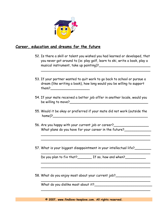

## **Career, education and dreams for the future**

52. Is there a skill or talent you wished you had learned or developed, that you never got around to (ie: play golf, learn to ski, write a book, play a musical instrument, take up painting)?\_\_\_\_\_\_\_\_\_\_\_\_\_\_\_\_\_\_\_\_\_\_\_\_\_

 $\overline{\phantom{a}}$  , and the contract of the contract of the contract of the contract of the contract of the contract of the contract of the contract of the contract of the contract of the contract of the contract of the contrac

- 53. If your partner wanted to quit work to go back to school or pursue a dream (like writing a book), how long would you be willing to support them?\_\_\_\_\_\_\_\_\_\_\_\_\_\_\_\_\_\_\_
- 54. If your mate received a better job offer in another locale, would you be willing to move? $\sqrt{2}$
- 55. Would it be okay or preferred if your mate did not work (outside the home)?\_\_\_\_\_\_\_\_\_\_\_\_\_\_\_\_\_\_\_\_\_\_\_\_\_\_\_\_\_\_\_\_\_\_\_\_\_\_\_\_\_\_\_\_\_\_

 $\overline{\phantom{a}}$  , and the contract of the contract of the contract of the contract of the contract of the contract of the contract of the contract of the contract of the contract of the contract of the contract of the contrac  $\overline{\phantom{a}}$  , and the contract of the contract of the contract of the contract of the contract of the contract of the contract of the contract of the contract of the contract of the contract of the contract of the contrac

 $\overline{\phantom{a}}$  , and the contract of the contract of the contract of the contract of the contract of the contract of the contract of the contract of the contract of the contract of the contract of the contract of the contrac

 $\overline{\phantom{a}}$  , and the contract of the contract of the contract of the contract of the contract of the contract of the contract of the contract of the contract of the contract of the contract of the contract of the contrac  $\overline{\phantom{a}}$  , and the contract of the contract of the contract of the contract of the contract of the contract of the contract of the contract of the contract of the contract of the contract of the contract of the contrac

 $\overline{\phantom{a}}$  , and the contract of the contract of the contract of the contract of the contract of the contract of the contract of the contract of the contract of the contract of the contract of the contract of the contrac

 $\overline{\phantom{a}}$  , and the contract of the contract of the contract of the contract of the contract of the contract of the contract of the contract of the contract of the contract of the contract of the contract of the contrac

- 56. Are you happy with your current job or career?\_\_\_\_\_\_\_\_\_\_\_\_\_\_\_\_\_ What plans do you have for your career in the future?
- 57. What is your biggest disappointment in your intellectual life?\_\_\_\_\_\_\_\_

Do you plan to fix that?\_\_\_\_\_\_\_\_ If so, how and when?\_\_\_\_\_\_\_\_\_\_\_

58. What do you enjoy most about your current job?\_\_\_\_\_\_\_\_\_\_\_\_\_\_\_\_\_

What do you dislike most about it?\_\_\_\_\_\_\_\_\_\_\_\_\_\_\_\_\_\_\_\_\_\_\_\_\_\_\_\_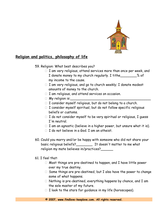

## **Religion and politics, philosophy of life**

59. Religion: What best describes you?

- $\Box$  I am very religious, attend services more than once per week, and I donate money to my church regularly. I tithe\_\_\_\_\_\_\_\_% of my income to the cause.
- $\Box$  I am very religious, and go to church weekly; I donate modest amounts of money to the church.
- $\Box$  I am religious, and attend services on occasion.
- $\Box$  My religion is:
- $\Box$  I consider myself religious, but do not belong to a church.
- $\Box$  I consider myself spiritual, but do not follow specific religious beliefs or customs.
- $\Box$  I do not consider myself to be very spiritual or religious, I guess I'm neutral.
- $\Box$  I am an agnostic (believe in a higher power, but unsure what it is).
- $\Box$  I do not believe in a God. I am an atheist.
- 60. Could you marry and/or be happy with someone who did not share your basic religious beliefs?\_\_\_\_\_\_\_\_ It doesn't matter to me what religion my mate believes in/practices?\_\_\_\_\_\_

### 61. I feel that:

- $\Box$  Most things are pre-destined to happen, and I have little power over my true destiny.
- $\Box$  Some things are pre-destined, but I also have the power to change some of what happens.
- $\Box$  Nothing is pre-destined, everything happens by chance, and I am the sole master of my future.
- $\Box$  I look to the stars for guidance in my life (horoscopes).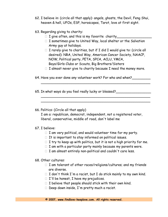- 62. I believe in: (circle all that apply): angels, ghosts, the Devil, Feng Shui, heaven & hell, UFOs, ESP, horoscopes, Tarot, love at first sight.
- 63. Regarding giving to charity:
	- $\Box$  I give often, and this is my favorite charity
	- $\Box$  I sometimes give to United Way, local shelter or the Salvation Army guy at holidays.
	- $\Box$  I rarely give to charities, but if I did I would give to: (circle all desired): NRA, United Way, American Cancer Society, NAACP, NOW, Political party, PETA, SPCA, ACLU, YMCA, Boys/Girls Clubs or Scouts, Big Brothers/Sisters
	- $\Box$  I almost never give to charity because I need the money more.

 $\overline{\phantom{a}}$  , and the contract of the contract of the contract of the contract of the contract of the contract of the contract of the contract of the contract of the contract of the contract of the contract of the contrac

 $\overline{\phantom{a}}$  , and the contract of the contract of the contract of the contract of the contract of the contract of the contract of the contract of the contract of the contract of the contract of the contract of the contrac  $\overline{\phantom{a}}$  , and the contract of the contract of the contract of the contract of the contract of the contract of the contract of the contract of the contract of the contract of the contract of the contract of the contrac

64. Have you ever done any volunteer work? For who and when?

65. In what ways do you feel really lucky or blessed?\_\_\_\_\_\_\_\_\_\_\_\_\_\_\_\_\_

66. Politics: (Circle all that apply)

 I am a: republican, democrat, independent, not a registered voter, liberal, conservative, middle of road, don't label me

### 67. I believe:

- $\Box$  I am very political, and would volunteer time for my party.
- $\Box$  It is important to stay informed on political issues.
- $\Box$  I try to keep up with politics, but it is not a high priority for me.
- $\Box$  I am with a particular party mainly because my parents were.
- $\Box$  I am almost entirely non-political and couldn't care less.

#### 68. Other cultures:

- $\Box$  I am tolerant of other races/religions/cultures; and my friends are diverse.
- $\Box$  I don't think I'm a racist, but I do stick mainly to my own kind.
- $\Box$  I'll be honest, I have my prejudices.
- $\Box$  I believe that people should stick with their own kind.
- $\Box$  Deep down inside, I'm pretty much a racist.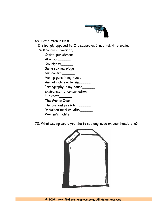

69. Hot button issues:

(1-strongly opposed to, 2-disapprove, 3-neutral, 4-tolerate,

 5-strongly in favor of) Capital punishment Abortion\_\_\_\_\_\_\_ Gay rights\_\_\_\_\_\_ Same sex marriage Gun control\_\_\_\_\_\_ Having guns in my house Animal rights activism\_\_\_\_\_\_ Pornography in my house Environmental conservation\_\_\_\_\_\_ Fur coats\_\_\_\_\_\_ The War in Iraq\_\_\_\_\_\_ The current president\_\_\_\_\_\_ Racial/cultural equality\_\_\_\_\_\_ Women's rights\_\_\_\_\_\_

70. What saying would you like to see engraved on your headstone?

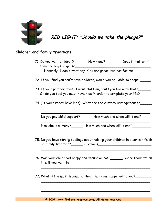

**RED LIGHT: "Should we take the plunge?"**

## **Children and family traditions**

- 71. Do you want children?\_\_\_\_\_\_ How many?\_\_\_\_\_\_\_\_ Does it matter if they are boys or girls?
	- $\Box$  Honestly, I don't want any. Kids are great, but not for me.
- 72. If you find you can't have children, would you be liable to adopt?\_\_\_\_\_
- 73. If your partner doesn't want children, could you live with that? Or do you feel you must have kids in order to complete your life?
- 74. (If you already have kids): What are the custody arrangements?

 $\overline{\phantom{a}}$  , and the contract of the contract of the contract of the contract of the contract of the contract of the contract of the contract of the contract of the contract of the contract of the contract of the contrac Do you pay child support? How much and when will it end?

 $\overline{\phantom{a}}$ 

 $\overline{\phantom{a}}$  , and the contract of the contract of the contract of the contract of the contract of the contract of the contract of the contract of the contract of the contract of the contract of the contract of the contrac

 $\overline{\phantom{a}}$ 

How about alimony?\_\_\_\_\_\_\_ How much and when will it end?\_\_\_\_\_\_\_\_\_

75. Do you have strong feelings about raising your children in a certain faith or family tradition?\_\_\_\_\_\_ (Explain)\_\_\_\_\_\_\_\_\_\_\_\_\_\_\_\_\_\_\_\_\_\_\_\_\_\_

 $\overline{\phantom{a}}$ 

76. Was your childhood happy and secure or not?\_\_\_\_\_\_ Share thoughts on this if you want to\_\_\_\_\_\_\_\_\_\_\_\_\_\_\_\_\_\_\_\_\_\_\_\_\_\_\_\_\_\_\_\_\_\_\_\_\_\_\_\_

 $\overline{\phantom{a}}$  , and the contract of the contract of the contract of the contract of the contract of the contract of the contract of the contract of the contract of the contract of the contract of the contract of the contrac

 $\overline{\phantom{a}}$  , and the contract of the contract of the contract of the contract of the contract of the contract of the contract of the contract of the contract of the contract of the contract of the contract of the contrac

 $\overline{\phantom{a}}$ 

77. What is the most traumatic thing that ever happened to you?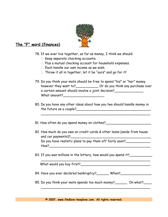

## **The "F" word (finances)**

78. If we ever live together, as far as money, I think we should:

- $\Box$  Keep separate checking accounts.
- $\Box$  Plus a mutual checking account for household expenses.
- $\Box$  Each handle our own income as we wish.
- $\Box$  Throw it all in together, let it be "ours" and go for it!
- 79. Do you think your mate should be free to spend "his" or "her" money however they want to? \_\_\_\_\_\_\_\_\_\_\_\_\_\_\_ Or do you think any purchase over a certain amount should involve a joint decision? What amount?\_\_\_\_\_\_\_\_\_\_\_\_\_\_\_\_\_\_\_\_
- 80. Do you have any other ideas about how you two should handle money in the future as a couple?\_\_\_\_\_\_\_\_\_\_\_\_\_\_\_\_\_\_\_\_\_\_\_\_\_\_\_\_\_\_\_\_\_\_\_\_

 $\overline{\phantom{a}}$  , and the contract of the contract of the contract of the contract of the contract of the contract of the contract of the contract of the contract of the contract of the contract of the contract of the contrac

81. How often do you spend money on clothes?

- 82. How much do you owe on credit cards & other loans (aside from house and car payments)?\_\_\_\_\_\_\_\_\_\_\_\_\_\_\_\_\_\_\_\_\_\_\_\_\_\_\_\_\_\_\_\_\_\_\_\_\_\_\_ Do you have realistic plans to pay them off fairly soon? How?\_\_\_\_\_\_\_\_\_\_\_\_\_\_\_\_\_\_\_\_\_\_\_\_\_\_\_\_\_\_\_\_\_\_\_\_\_\_\_\_\_\_\_\_\_\_\_\_\_
- 83. If you won millions in the lottery, how would you spend it?

What would you buy first?\_\_\_\_\_\_\_\_\_\_\_\_\_\_\_\_\_\_\_\_\_\_\_\_\_\_\_\_\_\_\_\_\_\_

84. Have you ever declared bankruptcy? When?

\_\_\_\_\_\_\_\_\_\_\_\_\_\_\_\_\_\_\_\_\_\_\_\_\_\_\_\_\_\_\_\_\_\_\_\_\_\_\_\_\_\_\_\_\_\_\_\_\_\_\_\_\_

85. Do you think your mate spends too much money? On what?  $\overline{\phantom{a}}$  , and the contract of the contract of the contract of the contract of the contract of the contract of the contract of the contract of the contract of the contract of the contract of the contract of the contrac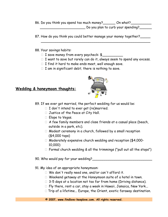86. Do you think you spend too much money? \_\_\_\_\_\_\_ On what? \_\_\_\_\_\_\_ \_\_\_\_\_\_\_\_\_\_\_\_\_\_\_\_\_\_\_\_\_\_ Do you plan to curb your spending?\_\_\_\_\_\_

 $\overline{\phantom{a}}$  , and the contract of the contract of the contract of the contract of the contract of the contract of the contract of the contract of the contract of the contract of the contract of the contract of the contrac

87. How do you think you could better manage your money together?

#### 88. Your savings habits:

- $\Box$  I save money from every paycheck:  $\frac{1}{2}$
- $\Box$  I want to save but rarely can do it, always seem to spend any excess.
- $\Box$  I find it hard to make ends meet, well enough save.
- $\Box$  I am in significant debt; there is nothing to save.

### **Wedding & honeymoon thoughts:**



89. If we ever got married, the perfect wedding for us would be:

- $\Box$  I don't intend to ever get (re)married.
- $\Box$  Justice of the Peace at City Hall.
- $\Box$  Elope to Vegas.
- $\Box$  A few family members and close friends at a casual place (beach, outside in a park, etc).
- Modest ceremony in a church, followed by a small reception (\$4,000 tops)
- □ Moderately expensive church wedding and reception (\$4,000-10,000)
- $\Box$  Formal church wedding & all the trimmings ("pull out all the stops")

90. Who would pay for your wedding?

#### 91. My idea of an appropriate honeymoon:

- □ We don't really need one, and/or can't afford it.
- Weekend getaway at the Honeymoon suite of a hotel in town.
- $\Box$  3-5 days at a location not too far from home (Driving distance).
- □ Fly there, rent a car, stay a week in Hawaii, Jamaica, New York...
- $\Box$  Trip of a lifetime... Europe, the Orient, exotic faraway destination.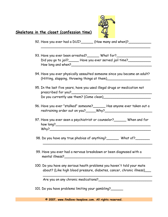

## **Skeletons in the closet (confession time)**

92. Have you ever had a DUI?\_\_\_\_\_\_ (How many and when)?\_\_\_\_\_\_\_\_\_\_\_\_\_\_\_\_\_\_\_\_\_\_\_\_\_

93. Have you ever been arrested?\_\_\_\_\_\_ What for?\_\_\_\_\_\_\_\_\_\_\_\_\_\_\_\_\_ Did you go to jail? Have you ever served jail time? How long and when?\_\_\_\_\_\_\_\_\_\_\_\_\_\_\_\_\_\_\_\_\_\_\_\_\_\_\_\_\_\_\_\_\_\_\_\_\_\_\_

 $\overline{\phantom{a}}$  , and the contract of the contract of the contract of the contract of the contract of the contract of the contract of the contract of the contract of the contract of the contract of the contract of the contrac

- 94. Have you ever physically assaulted someone since you became an adult? (Hitting, slapping, throwing things at them)
- 95. In the last five years, have you used illegal drugs or medication not prescribed for you?\_\_\_\_\_\_\_\_\_\_\_\_\_\_\_\_\_\_\_\_\_\_\_\_\_\_\_\_\_\_\_\_\_\_\_\_\_\_\_ Do you currently use them? (Come clean)\_\_\_\_\_\_\_\_\_\_\_\_\_\_\_\_\_\_\_\_\_\_\_
- 96. Have you ever "stalked" someone?\_\_\_\_\_\_ Has anyone ever taken out a restraining order out on you?\_\_\_\_\_Why?\_\_\_\_\_\_\_\_\_\_\_\_\_\_\_\_\_\_\_\_\_\_\_
- 97. Have you ever seen a psychiatrist or counselor?\_\_\_\_\_\_ When and for how long?\_\_\_\_\_\_\_\_\_\_\_\_\_\_\_\_\_\_\_\_\_\_\_\_\_\_\_\_\_\_\_\_\_\_\_\_\_\_\_\_\_\_\_\_\_\_  $Why?$
- 98. Do you have any true phobias of anything?\_\_\_\_\_\_\_ What of?\_\_\_\_\_\_\_\_  $\overline{\phantom{a}}$
- 99. Have you ever had a nervous breakdown or been diagnosed with a mental illness?\_\_\_\_\_\_\_\_\_\_\_\_\_\_\_\_\_\_\_\_\_\_\_\_\_\_\_\_\_\_\_\_\_\_\_\_\_\_\_\_\_\_
- 100. Do you have any serious heath problems you haven't told your mate about? (Like high blood pressure, diabetes, cancer, chronic illness)\_\_\_

 $\overline{\phantom{a}}$ 

Are you on any chronic medications?<br>

101. Do you have problems limiting your gambling?\_\_\_\_\_\_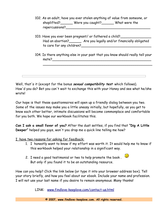- 102. As an adult, have you ever stolen anything of value from someone, or shoplifted? Were you caught? What were the repercussions?\_\_\_\_\_\_\_\_\_\_\_\_\_\_\_\_\_\_\_\_\_\_\_\_\_\_\_\_\_\_\_\_\_\_\_\_\_\_\_\_\_
- 103. Have you ever been pregnant/ or fathered a child? Had an abortion?\_\_\_\_\_\_ Are you legally and/or financially obligated to care for any children?
- 104. Is there anything else in your past that you know should really tell your mate?\_\_\_\_\_\_\_\_\_\_\_\_\_\_\_\_\_\_\_\_\_\_\_\_\_\_\_\_\_\_\_\_\_\_\_\_\_\_\_\_\_\_\_\_\_\_\_\_

 $\overline{\phantom{a}}$ 

Well, that's it (except for the bonus **sexual compatibility test** which follows). How'd you do? Bet you can't wait to exchange this with your Honey and see what he/she wrote!

Our hope is that these questionnaires will open up a friendly dialog between you two. Some of the issues may make you a little uneasy initially, but hopefully, as you get to know each other better, intimate discussions will become commonplace and comfortable for you both. We hope our workbook facilitates this.

**Can I ask a small favor of you?** After the dust settles, if you find that **"Dig A Little Deeper"** helped you guys, won't you drop me a quick line telling me how?

I have two reasons for asking for feedback:

- 1. I honestly want to know if my effort was worth it. It would help me to know if this workbook helped your relationship in a significant way.
- 2. I need a good testimonial or two to help promote the book.  $\bullet$ But only if you found it to be an outstanding resource.

How can you help? Click the link below (or type it into your browser address box). Tell your story briefly, and how you feel about our ebook. Include your name and profession. I will not use your last name if you desire to remain anonymous. Many thanks!

LINK: [www.findlove-keeplove.com/contact-us.html](http://www.findlove-keeplove.com/contact-us.html)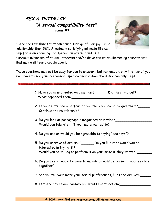## **SEX & INTIMACY "A sexual compatibility test" Bonus #1**



There are few things that can cause such grief... or joy... in a relationship than SEX. A mutually satisfying intimate life can help forge an enduring and special long-term bond. But

a serious mismatch of sexual interests and/or drive can cause simmering resentments that may well tear a couple apart.

These questions may not be easy for you to answer... but remember, only the two of you ever have to see your responses. Open communication about sex can only help!

| 1. Have you ever cheated on a partner? | Did they find out? |
|----------------------------------------|--------------------|
| What happened then?                    |                    |

- 2. If your mate had an affair, do you think you could forgive them? Continue the relationship?\_\_\_\_\_\_\_\_\_\_\_\_\_\_\_\_\_\_\_\_\_\_\_\_\_\_\_\_\_\_\_\_\_\_\_
- 3. Do you look at pornographic magazines or movies? Would you tolerate it if your mate wanted to?
- 4. Do you use or would you be agreeable to trying "sex toys"?
- 5. Do you approve of oral sex?\_\_\_\_\_\_ Do you like it or would you be interested in trying it? Would you be willing to perform it on your mate if they wanted?
- 6. Do you feel it would be okay to include an outside person in your sex life together?\_\_\_\_\_\_\_\_\_\_\_\_\_\_\_\_\_\_\_\_\_\_\_\_\_\_\_\_\_\_\_\_\_\_\_\_\_\_\_\_\_\_\_\_\_\_\_

 $\overline{\phantom{a}}$  , and the contract of the contract of the contract of the contract of the contract of the contract of the contract of the contract of the contract of the contract of the contract of the contract of the contrac

- 7. Can you tell your mate your sexual preferences, likes and dislikes?\_\_\_\_\_
- 8. Is there any sexual fantasy you would like to act on?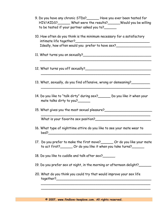- 9. Do you have any chronic STDs?\_\_\_\_\_\_ Have you ever been tested for HIV/AIDS?\_\_\_\_\_\_ What were the results?\_\_\_\_\_\_Would you be willing to be tested if your partner asked you to?\_\_\_\_\_\_
- 10. How often do you think is the minimum necessary for a satisfactory intimate life together?\_\_\_\_\_\_\_\_\_\_\_\_\_\_\_\_\_\_\_\_\_\_\_\_\_\_\_\_\_\_\_\_\_\_\_\_ Ideally, how often would you prefer to have sex?

 $\overline{\phantom{a}}$  , and the contract of the contract of the contract of the contract of the contract of the contract of the contract of the contract of the contract of the contract of the contract of the contract of the contrac

 $\overline{\phantom{a}}$  , and the contract of the contract of the contract of the contract of the contract of the contract of the contract of the contract of the contract of the contract of the contract of the contract of the contrac

 $\overline{\phantom{a}}$  , and the contract of the contract of the contract of the contract of the contract of the contract of the contract of the contract of the contract of the contract of the contract of the contract of the contrac

- 11. What turns you on sexually?<br>
- 12. What turns you off sexually?\_\_\_\_\_\_\_\_\_\_\_\_\_\_\_\_\_\_\_\_\_\_\_\_\_\_\_\_\_\_\_\_
- 13. What, sexually, do you find offensive, wrong or demeaning?
- 14. Do you like to "talk dirty" during sex?\_\_\_\_\_\_ Do you like it when your mate talks dirty to you?\_\_\_\_\_\_

 $\overline{\phantom{a}}$  , and the contract of the contract of the contract of the contract of the contract of the contract of the contract of the contract of the contract of the contract of the contract of the contract of the contrac

15. What gives you the most sexual pleasure?

What is your favorite sex position?

- 16. What type of nighttime attire do you like to see your mate wear to bed?\_\_\_\_\_\_\_\_\_\_\_\_\_\_\_\_\_\_\_\_\_\_\_\_\_\_\_\_\_\_\_\_\_\_\_\_\_\_\_\_\_\_\_\_\_\_\_\_\_\_
- 17. Do you prefer to make the first move?\_\_\_\_\_\_ Or do you like your mate to act first?\_\_\_\_\_\_\_ Or do you like it when you take turns?\_\_\_\_\_\_

18. Do you like to cuddle and talk after sex?\_\_\_\_\_\_

- 19. Do you prefer sex at night, in the morning or afternoon delight?\_\_\_\_\_\_
- 20. What do you think you could try that would improve your sex life together?\_\_\_\_\_\_\_\_\_\_\_\_\_\_\_\_\_\_\_\_\_\_\_\_\_\_\_\_\_\_\_\_\_\_\_\_\_\_\_\_\_\_\_\_\_\_

 $\overline{\phantom{a}}$  , and the contract of the contract of the contract of the contract of the contract of the contract of the contract of the contract of the contract of the contract of the contract of the contract of the contrac

**© 2007, www.findlove-keeplove.com. All rights reserved.**

 $\overline{\phantom{a}}$  , and the contract of the contract of the contract of the contract of the contract of the contract of the contract of the contract of the contract of the contract of the contract of the contract of the contrac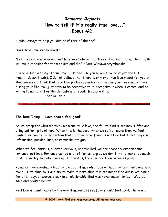## **Romance Report: "How to tell if it's really true love..." Bonus #2**

4 quick essays to help you decide if this is "the one":

### **Does true love really exist?**

"Let the people who never find true love believe that there is no such thing. Their faith will make it easier for them to live and die." ~Poet Wislawa Szymborska

There is such a thing as true love. Just because you haven't found it yet doesn't mean it doesn't exist. I do not believe that there is only one true love meant for you in this universe. I think that true love probably passes right under your nose many times during your life. You just have to be receptive to it, recognize it when it comes, and be willing to nurture it as the delicate and fragile treasure it is.

~Stella Larue

**The Real Thing... Love should feel good!**

As we grasp for what we think we want, true love, and fail to find it, we may suffer and bring suffering to others. When this is the case, when we suffer more than we feel healed, we can be fairly certain that what we have found is not love but something else... infatuation, passion, lust, or romantic intrigue.

When we feel anxious, excited, nervous, and thrilled, we are probably experiencing romance, not love. Romance can be a lot of fun as long as we don't try to make too much of it. If we try to make more of it than it is, the romance then becomes painful.

Romance may eventually lead to love, but it may also fade without maturing into anything more. If we cling to it and try to make it more than it is, we might find ourselves pining for a fantasy, or worse, stuck in a relationship that was never meant to last. Wasted time and broken hearts.

Real love is identifiable by the way it makes us feel. Love should feel good. There is a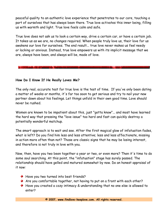peaceful quality to an authentic love experience that penetrates to our core, touching a part of ourselves that has always been there. True love activates this inner being, filling us with warmth and light. True love feels calm and safe.

True love does not ask us to look a certain way, drive a certain car, or have a certain job. It takes us as we are, no changes required. When people truly love us, their love for us awakens our love for ourselves. The end result... true love never makes us feel needy or lacking or anxious. Instead, true love empowers us with its implicit message that we are, always have been, and always will be, made of love.

**How Do I Know If He Really Loves Me?**

The only real, accurate test for true love is the test of time. If you've only been dating a matter of weeks or months, it's far too soon to get serious and try to nail your new partner down about his feelings. Let things unfold in their own good time. Love should never be rushed.

Women are known to be impatient about this, just "gotta know"... and most have learned the hard way that pressing the "love issue" too hard and fast can quickly destroy a potentially wonderful matchup.

The smart approach is to wait and see. After the first magical glow of infatuation fades, what is left? Do you find him less and less attentive; less and less affectionate, missing in action more often than not? Those are classic signs that he may be losing interest, and therefore is not truly in love with you.

Now, then, have you two been together a year or two, or even more? Then it's time to do some soul searching. At this point, the "infatuation" stage has surely passed. The relationship should have gelled and matured somewhat by now. Do an honest appraisal of it now:

- ◆ Have you two turned into best friends?
- Are you comfortable together, not having to put on a front with each other?
- ◆ Have you created a cozy intimacy & understanding that no one else is allowed to enter?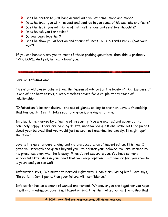- ◆ Does he prefer to just hang around with you at home, more and more?
- ◆ Does he treat you with respect and confide in you some of his secrets and fears?
- ◆ Does he trust you with some of his most tender and sensitive thoughts?
- ◆ Does he ask you for advice?
- ◆ Do you laugh together?
- ◆ Does he show you affection and thoughtfulness IN HIS OWN WAY? (Not your way)?

If you can honestly say yes to most of these probing questions, then this is probably TRUE LOVE. And yes, he really loves you.

## **Love or Infatuation?**

This is an old classic column from the "queen of advice for the lovelorn", Ann Landers. It is one of her best essays, quietly timeless advice for a couple at any stage of relationship.

"Infatuation is instant desire - one set of glands calling to another. Love is friendship that has caught fire. It takes root and grows, one day at a time.

Infatuation is marked by a feeling of insecurity. You are excited and eager but not genuinely happy. There are nagging doubts, unanswered questions, little bits and pieces about your beloved that you would just as soon not examine too closely. It might spoil the dream.

Love is the quiet understanding and mature acceptance of imperfection. It is real. It gives you strength and grows beyond you - to bolster your beloved. You are warmed by his presence, even when he is away. Miles do not separate you. You have so many wonderful little films in your head that you keep replaying. But near or far, you know he is yours and you can wait.

Infatuation says, "We must get married right away. I can't risk losing him." Love says, "Be patient. Don't panic. Plan your future with confidence."

Infatuation has an element of sexual excitement. Whenever you are together you hope it will end in intimacy. Love is not based on sex. It is the maturation of friendship that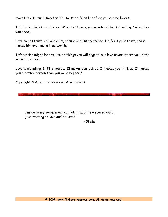makes sex so much sweeter. You must be friends before you can be lovers.

Infatuation lacks confidence. When he's away, you wonder if he is cheating. Sometimes you check.

Love means trust. You are calm, secure and unthreatened. He feels your trust, and it makes him even more trustworthy.

Infatuation might lead you to do things you will regret, but love never steers you in the wrong direction.

Love is elevating. It lifts you up. It makes you look up. It makes you think up. It makes you a better person than you were before."

Copyright © All rights reserved. Ann Landers

Inside every swaggering, confident adult is a scared child, just wanting to love and be loved.

~Stella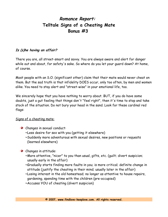## **Romance Report: Telltale Signs of a Cheating Mate Bonus #3**

## **Is (s)he having an affair?**

There you are, all street-smart and savvy. You are always aware and alert for danger while out and about, for safety's sake. So where do you let your guard down? At home, of course.

Most people with an S.O. (significant other) claim that their mate would never cheat on them. But the sad truth is that infidelity DOES occur, only too often, by men and women alike. You need to stay alert and "street-wise" in your emotional life, too.

We sincerely hope that you have nothing to worry about. BUT, if you do have some doubts, just a gut feeling that things don't "feel right", then it's time to stop and take stock of the situation. Do not bury your head in the sand. Look for these cardinal red flags:

### Signs of a cheating mate:

- ◆ Changes in sexual conduct:
	- ~Less desire for sex with you (getting it elsewhere)
	- ~Suddenly more adventurous with sexual desires, new positions or requests (learned elsewhere)

## ◆ Changes in attitude:

- ~More attentive, "nicer" to you than usual, gifts, etc. (guilt; divert suspicion; usually early in the affair)
- ~Gradually starts finding more faults in you; is more critical; definite change in attitude (justify the cheating in their mind; usually later in the affair)
- ~Losing interest in the old homestead; no longer as attentive to house repairs, gardening, spending time with the children (pre-occupied)
- ~Accuses YOU of cheating (divert suspicion)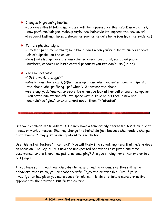## ◆ Changes in grooming habits:

~Suddenly starts taking more care with her appearance than usual; new clothes, new perfume/cologne, makeup style, new hairstyle (to impress the new lover) ~Frequent bathing, takes a shower as soon as he gets home (destroy the evidence)

## $\blacktriangleright$  Telltale physical signs:

- ~Smell of perfume on them; long blond hairs when you're a short, curly redhead; classic lipstick on the collar
- ~You find strange receipts, unexplained credit card bills, scribbled phone numbers, condoms or birth control products you two don't use (uh-oh)

## $\blacktriangleright$  Red Flag activity:

- ~"Gotta work late again"
- ~Mysterious phone calls, (s)he hangs up phone when you enter room, whispers on the phone, abrupt "hang-ups" when YOU answer the phone
- ~Gets angry, defensive, or secretive when you look at her cell phone or computer ~You catch him staring off into space with a smile on his face, a new and
- unexplained "glow" or excitement about them (infatuated)

Use your common sense with this. He may have a temporarily decreased sex drive due to illness or work stresses. She may change the hairstyle just because she needs a change. That "hang-up" may just be an impatient telemarketer.

Use this list of factors "in context". You will likely find something here that he/she does on occasion. The key is: Is it new and unexpected behavior? Is it just a one-time occurrence, or are there new patterns emerging? Are you finding more than one or two red flags?

If you have run through our checklist here, and find no evidence of these strange behaviors, then relax, you're probably safe. Enjoy the relationship. But, if your investigation has given you more cause for alarm, it is time to take a more pro-active approach to the situation. But first a caution: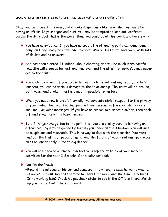## **WARNING: DO NOT CONFRONT OR ACCUSE YOUR LOVER YET!!!**

Okay, you've thought this over, and it looks suspiciously like he or she may really be having an affair. In your anger and hurt, you may be tempted to lash out, confront, accuse the dirty dog! That is the worst thing you could do at this point, and here's why:

- $\blacktriangleright$  You have no evidence. If you have no proof, the offending party can deny, deny, deny, and may really be convincing, to boot. Where does that leave you? With lots of doubts and no answers.
- $\blacklozenge$  She has been alerted. If indeed, she is cheating, she will be much more careful now. She will clean up her act, and may even end the affair for now. You may never get to the truth.
- You might be wrong! If you accuse him of infidelity without any proof, and he's innocent, you can do serious damage to the relationship. The trust will be broken, both ways. And broken trust is almost impossible to restore.
- What you need now is proof. Normally, we advocate strict respect for the privacy of your mate. This means no snooping in their personal affairs, emails, pockets, snail mail, or voice messages. If you have no reason to suspect him/her, then back off, and show them this basic respect.
- $\blacklozenge$  But, if things have gotten to the point that you are pretty sure he is having an affair, nothing is to be gained by turning your back on the situation. You will just be suspicious and miserable. This is no way to deal with the situation. You must find out the truth, for peace of mind, and the future of your relationship. Privacy rules no longer apply. Time to dig deeper...
- You will now become an amateur detective. Keep strict track of your mate's activities for the next 2-3 weeks. Get a calendar book.

#### ◆ Out On the Prowl:

~Record the mileage on his car and compare it to where he says he went. How far is work? Find out. Record the time he leaves for work, and the time he returns. Is he working late? Check his paycheck stubs to see if the OT is in there. Match up your record with the stub hours.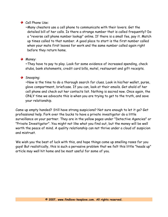## $\blacktriangleright$  Cell Phone Use:

~Many cheaters use a cell phone to communicate with their lovers. Get the detailed bill of her calls. Is there a strange number that is called frequently? Do a "reverse cell phone number lookup" online. If there is a small fee, pay it. Match up times called to that number. A good place to start is the first number called when your mate first leaves for work and the same number called again right before they return home.

### **Money:**

~They have to pay to play. Look for some evidence of increased spending, check stubs, bank statements, credit card bills, motel, restaurant and gift receipts.

## Snooping:

~Now is the time to do a thorough search for clues. Look in his/her wallet, purse, glove compartment, briefcase. If you can, look at their emails. Get ahold of her cell phone and check out her contacts list. Nothing is sacred now. Once again, the ONLY time we advocate this is when you are trying to get to the truth, and save your relationship.

Came up empty handed? Still have strong suspicions? Not sure enough to let it go? Get professional help. Fork over the bucks to have a private investigator do a little surveillance on your partner. They are in the yellow pages under "Detective Agencies" or "Private Investigator". You might not like what you find out, but the money will be well worth the peace of mind. A quality relationship can not thrive under a cloud of suspicion and mistrust.

We wish you the best of luck with this, and hope things come up smelling roses for you guys! But realistically, this is such a pervasive problem that we felt this little "heads up" article may well hit home and be most useful for some of you.